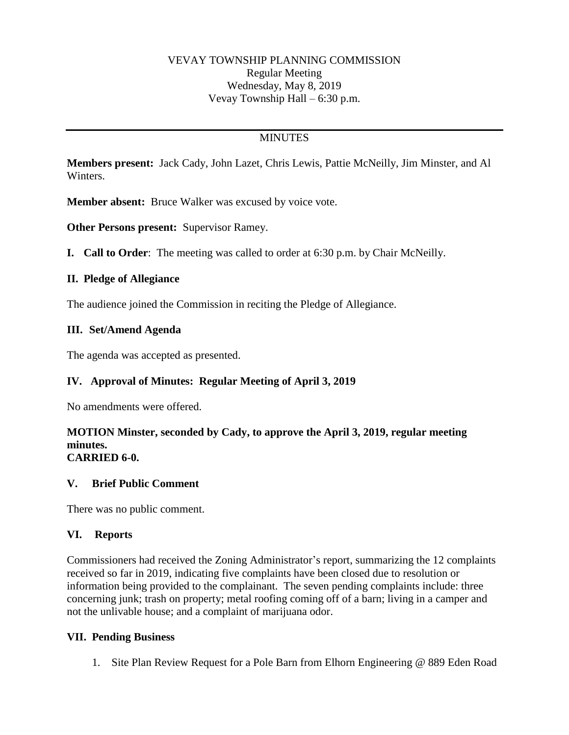## **MINUTES**

**Members present:** Jack Cady, John Lazet, Chris Lewis, Pattie McNeilly, Jim Minster, and Al Winters.

**Member absent:** Bruce Walker was excused by voice vote.

**Other Persons present:** Supervisor Ramey.

**I. Call to Order**: The meeting was called to order at 6:30 p.m. by Chair McNeilly.

### **II. Pledge of Allegiance**

The audience joined the Commission in reciting the Pledge of Allegiance.

## **III. Set/Amend Agenda**

The agenda was accepted as presented.

## **IV. Approval of Minutes: Regular Meeting of April 3, 2019**

No amendments were offered.

#### **MOTION Minster, seconded by Cady, to approve the April 3, 2019, regular meeting minutes. CARRIED 6-0.**

#### **V. Brief Public Comment**

There was no public comment.

#### **VI. Reports**

Commissioners had received the Zoning Administrator's report, summarizing the 12 complaints received so far in 2019, indicating five complaints have been closed due to resolution or information being provided to the complainant. The seven pending complaints include: three concerning junk; trash on property; metal roofing coming off of a barn; living in a camper and not the unlivable house; and a complaint of marijuana odor.

#### **VII. Pending Business**

1. Site Plan Review Request for a Pole Barn from Elhorn Engineering @ 889 Eden Road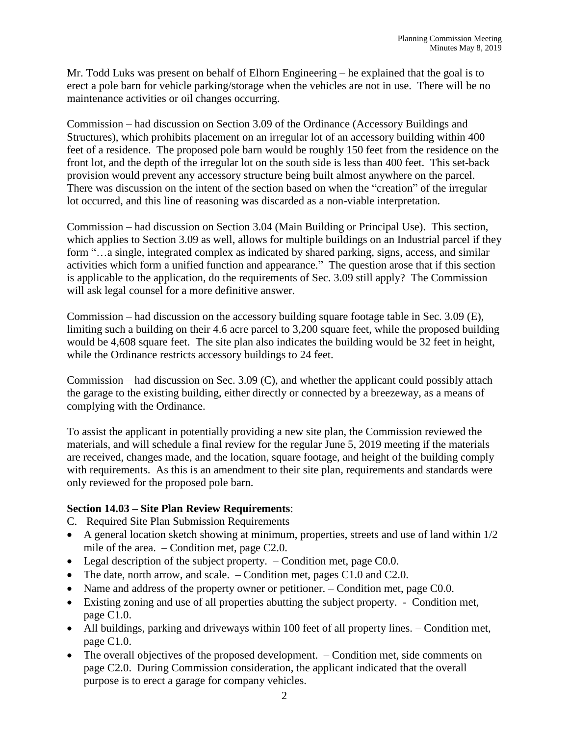Mr. Todd Luks was present on behalf of Elhorn Engineering – he explained that the goal is to erect a pole barn for vehicle parking/storage when the vehicles are not in use. There will be no maintenance activities or oil changes occurring.

Commission – had discussion on Section 3.09 of the Ordinance (Accessory Buildings and Structures), which prohibits placement on an irregular lot of an accessory building within 400 feet of a residence. The proposed pole barn would be roughly 150 feet from the residence on the front lot, and the depth of the irregular lot on the south side is less than 400 feet. This set-back provision would prevent any accessory structure being built almost anywhere on the parcel. There was discussion on the intent of the section based on when the "creation" of the irregular lot occurred, and this line of reasoning was discarded as a non-viable interpretation.

Commission – had discussion on Section 3.04 (Main Building or Principal Use). This section, which applies to Section 3.09 as well, allows for multiple buildings on an Industrial parcel if they form "...a single, integrated complex as indicated by shared parking, signs, access, and similar activities which form a unified function and appearance." The question arose that if this section is applicable to the application, do the requirements of Sec. 3.09 still apply? The Commission will ask legal counsel for a more definitive answer.

Commission – had discussion on the accessory building square footage table in Sec. 3.09 (E), limiting such a building on their 4.6 acre parcel to 3,200 square feet, while the proposed building would be 4,608 square feet. The site plan also indicates the building would be 32 feet in height, while the Ordinance restricts accessory buildings to 24 feet.

Commission – had discussion on Sec. 3.09 (C), and whether the applicant could possibly attach the garage to the existing building, either directly or connected by a breezeway, as a means of complying with the Ordinance.

To assist the applicant in potentially providing a new site plan, the Commission reviewed the materials, and will schedule a final review for the regular June 5, 2019 meeting if the materials are received, changes made, and the location, square footage, and height of the building comply with requirements. As this is an amendment to their site plan, requirements and standards were only reviewed for the proposed pole barn.

## **Section 14.03 – Site Plan Review Requirements**:

- C. Required Site Plan Submission Requirements
- A general location sketch showing at minimum, properties, streets and use of land within 1/2 mile of the area. – Condition met, page C2.0.
- Legal description of the subject property. Condition met, page C0.0.
- The date, north arrow, and scale. Condition met, pages C1.0 and C2.0.
- Name and address of the property owner or petitioner. Condition met, page C0.0.
- Existing zoning and use of all properties abutting the subject property. Condition met, page C1.0.
- All buildings, parking and driveways within 100 feet of all property lines. Condition met, page C1.0.
- The overall objectives of the proposed development. Condition met, side comments on page C2.0. During Commission consideration, the applicant indicated that the overall purpose is to erect a garage for company vehicles.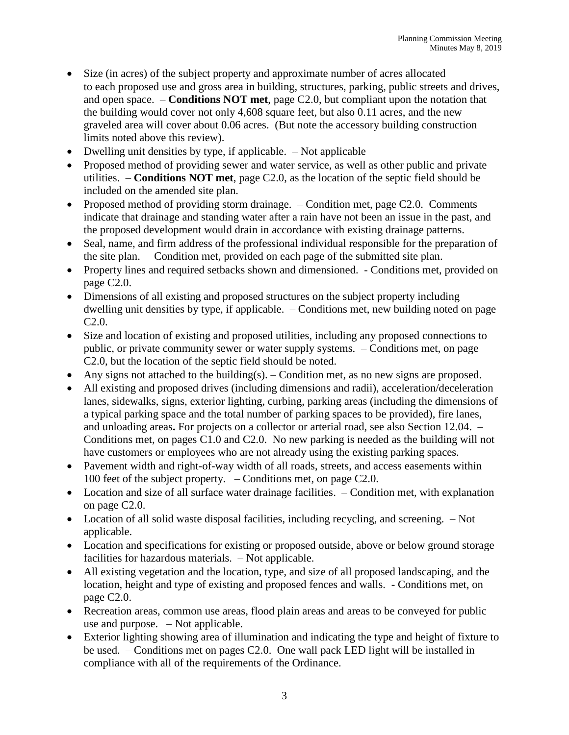- Size (in acres) of the subject property and approximate number of acres allocated to each proposed use and gross area in building, structures, parking, public streets and drives, and open space. – **Conditions NOT met**, page C2.0, but compliant upon the notation that the building would cover not only 4,608 square feet, but also 0.11 acres, and the new graveled area will cover about 0.06 acres. (But note the accessory building construction limits noted above this review).
- Dwelling unit densities by type, if applicable. Not applicable
- Proposed method of providing sewer and water service, as well as other public and private utilities. – **Conditions NOT met**, page C2.0, as the location of the septic field should be included on the amended site plan.
- Proposed method of providing storm drainage. Condition met, page C2.0. Comments indicate that drainage and standing water after a rain have not been an issue in the past, and the proposed development would drain in accordance with existing drainage patterns.
- Seal, name, and firm address of the professional individual responsible for the preparation of the site plan. – Condition met, provided on each page of the submitted site plan.
- Property lines and required setbacks shown and dimensioned. Conditions met, provided on page C2.0.
- Dimensions of all existing and proposed structures on the subject property including dwelling unit densities by type, if applicable. – Conditions met, new building noted on page C2.0.
- Size and location of existing and proposed utilities, including any proposed connections to public, or private community sewer or water supply systems. – Conditions met, on page C2.0, but the location of the septic field should be noted.
- Any signs not attached to the building(s).  $-$  Condition met, as no new signs are proposed.
- All existing and proposed drives (including dimensions and radii), acceleration/deceleration lanes, sidewalks, signs, exterior lighting, curbing, parking areas (including the dimensions of a typical parking space and the total number of parking spaces to be provided), fire lanes, and unloading areas**.** For projects on a collector or arterial road, see also Section 12.04. – Conditions met, on pages C1.0 and C2.0. No new parking is needed as the building will not have customers or employees who are not already using the existing parking spaces.
- Pavement width and right-of-way width of all roads, streets, and access easements within 100 feet of the subject property. – Conditions met, on page C2.0.
- Location and size of all surface water drainage facilities. Condition met, with explanation on page C2.0.
- Location of all solid waste disposal facilities, including recycling, and screening.  $-$  Not applicable.
- Location and specifications for existing or proposed outside, above or below ground storage facilities for hazardous materials. – Not applicable.
- All existing vegetation and the location, type, and size of all proposed landscaping, and the location, height and type of existing and proposed fences and walls. - Conditions met, on page C2.0.
- Recreation areas, common use areas, flood plain areas and areas to be conveyed for public use and purpose. – Not applicable.
- Exterior lighting showing area of illumination and indicating the type and height of fixture to be used. – Conditions met on pages C2.0. One wall pack LED light will be installed in compliance with all of the requirements of the Ordinance.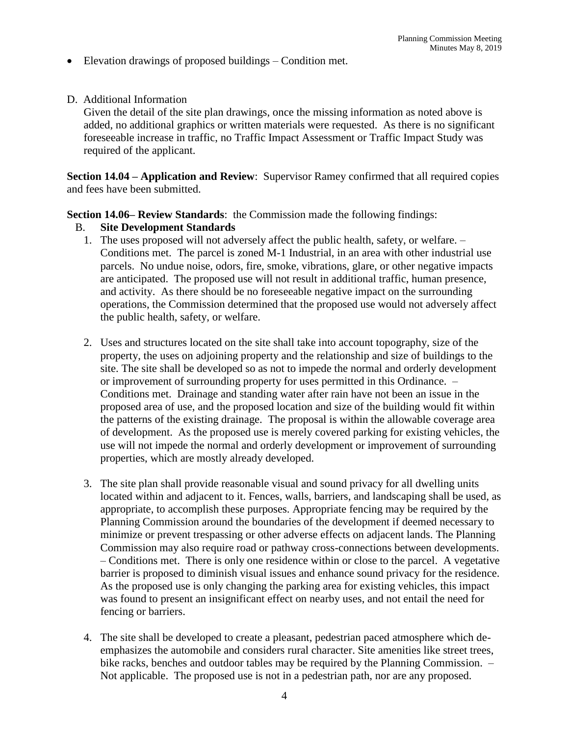- Elevation drawings of proposed buildings Condition met.
- D. Additional Information

Given the detail of the site plan drawings, once the missing information as noted above is added, no additional graphics or written materials were requested. As there is no significant foreseeable increase in traffic, no Traffic Impact Assessment or Traffic Impact Study was required of the applicant.

**Section 14.04 – Application and Review**: Supervisor Ramey confirmed that all required copies and fees have been submitted.

### **Section 14.06– Review Standards**: the Commission made the following findings:

### B. **Site Development Standards**

- 1. The uses proposed will not adversely affect the public health, safety, or welfare. Conditions met. The parcel is zoned M-1 Industrial, in an area with other industrial use parcels. No undue noise, odors, fire, smoke, vibrations, glare, or other negative impacts are anticipated. The proposed use will not result in additional traffic, human presence, and activity. As there should be no foreseeable negative impact on the surrounding operations, the Commission determined that the proposed use would not adversely affect the public health, safety, or welfare.
- 2. Uses and structures located on the site shall take into account topography, size of the property, the uses on adjoining property and the relationship and size of buildings to the site. The site shall be developed so as not to impede the normal and orderly development or improvement of surrounding property for uses permitted in this Ordinance. – Conditions met. Drainage and standing water after rain have not been an issue in the proposed area of use, and the proposed location and size of the building would fit within the patterns of the existing drainage. The proposal is within the allowable coverage area of development. As the proposed use is merely covered parking for existing vehicles, the use will not impede the normal and orderly development or improvement of surrounding properties, which are mostly already developed.
- 3. The site plan shall provide reasonable visual and sound privacy for all dwelling units located within and adjacent to it. Fences, walls, barriers, and landscaping shall be used, as appropriate, to accomplish these purposes. Appropriate fencing may be required by the Planning Commission around the boundaries of the development if deemed necessary to minimize or prevent trespassing or other adverse effects on adjacent lands. The Planning Commission may also require road or pathway cross-connections between developments. – Conditions met. There is only one residence within or close to the parcel. A vegetative barrier is proposed to diminish visual issues and enhance sound privacy for the residence. As the proposed use is only changing the parking area for existing vehicles, this impact was found to present an insignificant effect on nearby uses, and not entail the need for fencing or barriers.
- 4. The site shall be developed to create a pleasant, pedestrian paced atmosphere which deemphasizes the automobile and considers rural character. Site amenities like street trees, bike racks, benches and outdoor tables may be required by the Planning Commission. – Not applicable. The proposed use is not in a pedestrian path, nor are any proposed.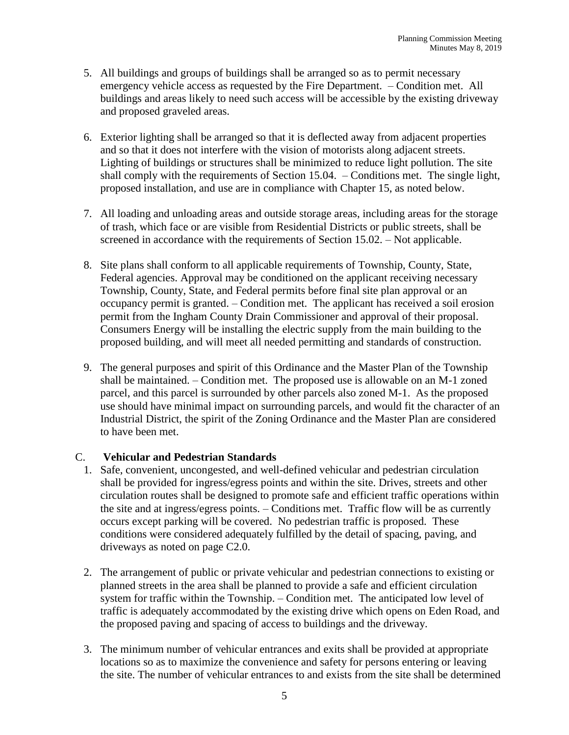- 5. All buildings and groups of buildings shall be arranged so as to permit necessary emergency vehicle access as requested by the Fire Department. – Condition met. All buildings and areas likely to need such access will be accessible by the existing driveway and proposed graveled areas.
- 6. Exterior lighting shall be arranged so that it is deflected away from adjacent properties and so that it does not interfere with the vision of motorists along adjacent streets. Lighting of buildings or structures shall be minimized to reduce light pollution. The site shall comply with the requirements of Section 15.04. – Conditions met. The single light, proposed installation, and use are in compliance with Chapter 15, as noted below.
- 7. All loading and unloading areas and outside storage areas, including areas for the storage of trash, which face or are visible from Residential Districts or public streets, shall be screened in accordance with the requirements of Section 15.02. – Not applicable.
- 8. Site plans shall conform to all applicable requirements of Township, County, State, Federal agencies. Approval may be conditioned on the applicant receiving necessary Township, County, State, and Federal permits before final site plan approval or an occupancy permit is granted. – Condition met. The applicant has received a soil erosion permit from the Ingham County Drain Commissioner and approval of their proposal. Consumers Energy will be installing the electric supply from the main building to the proposed building, and will meet all needed permitting and standards of construction.
- 9. The general purposes and spirit of this Ordinance and the Master Plan of the Township shall be maintained. – Condition met. The proposed use is allowable on an M-1 zoned parcel, and this parcel is surrounded by other parcels also zoned M-1. As the proposed use should have minimal impact on surrounding parcels, and would fit the character of an Industrial District, the spirit of the Zoning Ordinance and the Master Plan are considered to have been met.

## C. **Vehicular and Pedestrian Standards**

- 1. Safe, convenient, uncongested, and well-defined vehicular and pedestrian circulation shall be provided for ingress/egress points and within the site. Drives, streets and other circulation routes shall be designed to promote safe and efficient traffic operations within the site and at ingress/egress points. – Conditions met. Traffic flow will be as currently occurs except parking will be covered. No pedestrian traffic is proposed. These conditions were considered adequately fulfilled by the detail of spacing, paving, and driveways as noted on page C2.0.
- 2. The arrangement of public or private vehicular and pedestrian connections to existing or planned streets in the area shall be planned to provide a safe and efficient circulation system for traffic within the Township. – Condition met. The anticipated low level of traffic is adequately accommodated by the existing drive which opens on Eden Road, and the proposed paving and spacing of access to buildings and the driveway.
- 3. The minimum number of vehicular entrances and exits shall be provided at appropriate locations so as to maximize the convenience and safety for persons entering or leaving the site. The number of vehicular entrances to and exists from the site shall be determined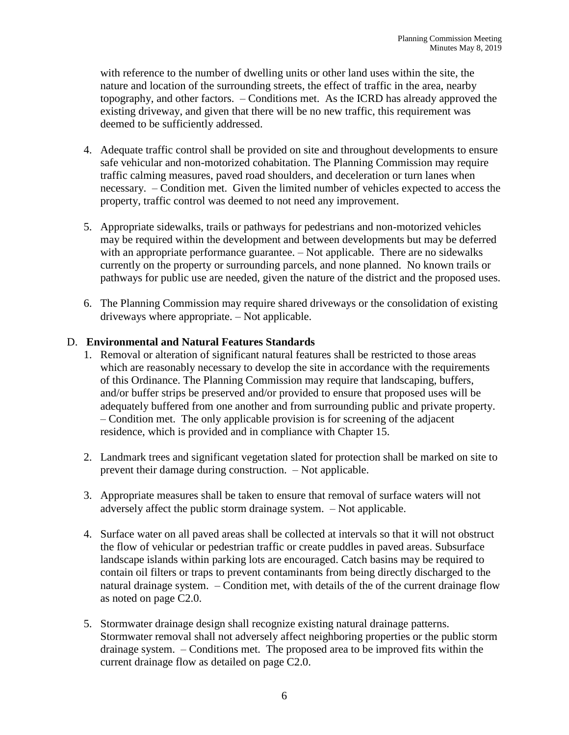with reference to the number of dwelling units or other land uses within the site, the nature and location of the surrounding streets, the effect of traffic in the area, nearby topography, and other factors. – Conditions met. As the ICRD has already approved the existing driveway, and given that there will be no new traffic, this requirement was deemed to be sufficiently addressed.

- 4. Adequate traffic control shall be provided on site and throughout developments to ensure safe vehicular and non-motorized cohabitation. The Planning Commission may require traffic calming measures, paved road shoulders, and deceleration or turn lanes when necessary. – Condition met. Given the limited number of vehicles expected to access the property, traffic control was deemed to not need any improvement.
- 5. Appropriate sidewalks, trails or pathways for pedestrians and non-motorized vehicles may be required within the development and between developments but may be deferred with an appropriate performance guarantee. – Not applicable. There are no sidewalks currently on the property or surrounding parcels, and none planned. No known trails or pathways for public use are needed, given the nature of the district and the proposed uses.
- 6. The Planning Commission may require shared driveways or the consolidation of existing driveways where appropriate. – Not applicable.

## D. **Environmental and Natural Features Standards**

- 1. Removal or alteration of significant natural features shall be restricted to those areas which are reasonably necessary to develop the site in accordance with the requirements of this Ordinance. The Planning Commission may require that landscaping, buffers, and/or buffer strips be preserved and/or provided to ensure that proposed uses will be adequately buffered from one another and from surrounding public and private property. – Condition met. The only applicable provision is for screening of the adjacent residence, which is provided and in compliance with Chapter 15.
- 2. Landmark trees and significant vegetation slated for protection shall be marked on site to prevent their damage during construction. – Not applicable.
- 3. Appropriate measures shall be taken to ensure that removal of surface waters will not adversely affect the public storm drainage system. – Not applicable.
- 4. Surface water on all paved areas shall be collected at intervals so that it will not obstruct the flow of vehicular or pedestrian traffic or create puddles in paved areas. Subsurface landscape islands within parking lots are encouraged. Catch basins may be required to contain oil filters or traps to prevent contaminants from being directly discharged to the natural drainage system. – Condition met, with details of the of the current drainage flow as noted on page C2.0.
- 5. Stormwater drainage design shall recognize existing natural drainage patterns. Stormwater removal shall not adversely affect neighboring properties or the public storm drainage system. – Conditions met. The proposed area to be improved fits within the current drainage flow as detailed on page C2.0.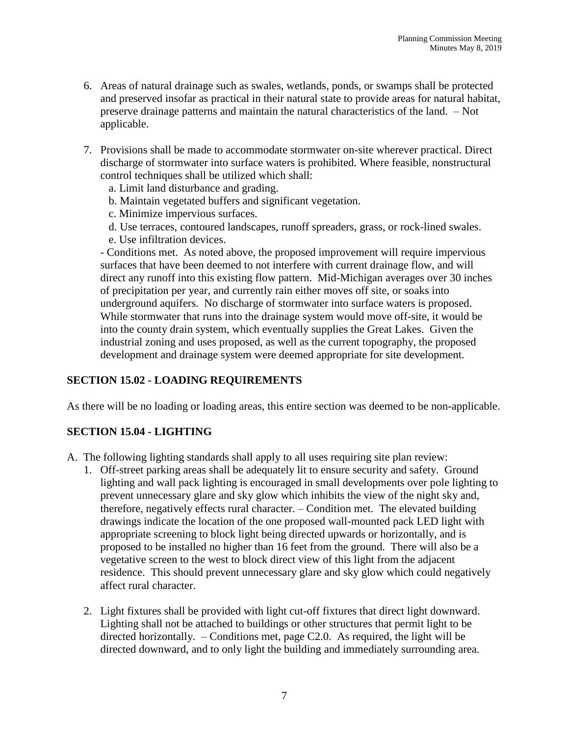- 6. Areas of natural drainage such as swales, wetlands, ponds, or swamps shall be protected and preserved insofar as practical in their natural state to provide areas for natural habitat, preserve drainage patterns and maintain the natural characteristics of the land. – Not applicable.
- 7. Provisions shall be made to accommodate stormwater on-site wherever practical. Direct discharge of stormwater into surface waters is prohibited. Where feasible, nonstructural control techniques shall be utilized which shall:
	- a. Limit land disturbance and grading.
	- b. Maintain vegetated buffers and significant vegetation.
	- c. Minimize impervious surfaces.
	- d. Use terraces, contoured landscapes, runoff spreaders, grass, or rock-lined swales.
	- e. Use infiltration devices.

- Conditions met. As noted above, the proposed improvement will require impervious surfaces that have been deemed to not interfere with current drainage flow, and will direct any runoff into this existing flow pattern. Mid-Michigan averages over 30 inches of precipitation per year, and currently rain either moves off site, or soaks into underground aquifers. No discharge of stormwater into surface waters is proposed. While stormwater that runs into the drainage system would move off-site, it would be into the county drain system, which eventually supplies the Great Lakes. Given the industrial zoning and uses proposed, as well as the current topography, the proposed development and drainage system were deemed appropriate for site development.

## **SECTION 15.02 - LOADING REQUIREMENTS**

As there will be no loading or loading areas, this entire section was deemed to be non-applicable.

## **SECTION 15.04 - LIGHTING**

- A. The following lighting standards shall apply to all uses requiring site plan review:
	- 1. Off-street parking areas shall be adequately lit to ensure security and safety. Ground lighting and wall pack lighting is encouraged in small developments over pole lighting to prevent unnecessary glare and sky glow which inhibits the view of the night sky and, therefore, negatively effects rural character. – Condition met. The elevated building drawings indicate the location of the one proposed wall-mounted pack LED light with appropriate screening to block light being directed upwards or horizontally, and is proposed to be installed no higher than 16 feet from the ground. There will also be a vegetative screen to the west to block direct view of this light from the adjacent residence. This should prevent unnecessary glare and sky glow which could negatively affect rural character.
	- 2. Light fixtures shall be provided with light cut-off fixtures that direct light downward. Lighting shall not be attached to buildings or other structures that permit light to be directed horizontally.  $-$  Conditions met, page C2.0. As required, the light will be directed downward, and to only light the building and immediately surrounding area.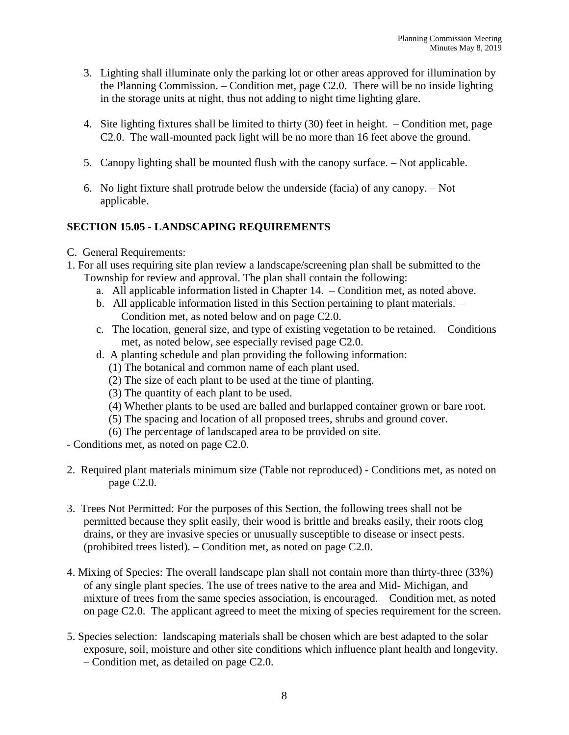- 3. Lighting shall illuminate only the parking lot or other areas approved for illumination by the Planning Commission. – Condition met, page C2.0. There will be no inside lighting in the storage units at night, thus not adding to night time lighting glare.
- 4. Site lighting fixtures shall be limited to thirty (30) feet in height. Condition met, page C2.0. The wall-mounted pack light will be no more than 16 feet above the ground.
- 5. Canopy lighting shall be mounted flush with the canopy surface. Not applicable.
- 6. No light fixture shall protrude below the underside (facia) of any canopy. Not applicable.

# **SECTION 15.05 - LANDSCAPING REQUIREMENTS**

- C. General Requirements:
- 1. For all uses requiring site plan review a landscape/screening plan shall be submitted to the Township for review and approval. The plan shall contain the following:
	- a. All applicable information listed in Chapter 14. Condition met, as noted above.
	- b. All applicable information listed in this Section pertaining to plant materials. Condition met, as noted below and on page C2.0.
	- c. The location, general size, and type of existing vegetation to be retained. Conditions met, as noted below, see especially revised page C2.0.
	- d. A planting schedule and plan providing the following information:
		- (1) The botanical and common name of each plant used.
		- (2) The size of each plant to be used at the time of planting.
		- (3) The quantity of each plant to be used.
		- (4) Whether plants to be used are balled and burlapped container grown or bare root.
		- (5) The spacing and location of all proposed trees, shrubs and ground cover.
		- (6) The percentage of landscaped area to be provided on site.
- Conditions met, as noted on page C2.0.
- 2. Required plant materials minimum size (Table not reproduced) Conditions met, as noted on page C2.0.
- 3. Trees Not Permitted: For the purposes of this Section, the following trees shall not be permitted because they split easily, their wood is brittle and breaks easily, their roots clog drains, or they are invasive species or unusually susceptible to disease or insect pests. (prohibited trees listed). – Condition met, as noted on page C2.0.
- 4. Mixing of Species: The overall landscape plan shall not contain more than thirty-three (33%) of any single plant species. The use of trees native to the area and Mid- Michigan, and mixture of trees from the same species association, is encouraged. – Condition met, as noted on page C2.0. The applicant agreed to meet the mixing of species requirement for the screen.
- 5. Species selection: landscaping materials shall be chosen which are best adapted to the solar exposure, soil, moisture and other site conditions which influence plant health and longevity. – Condition met, as detailed on page C2.0.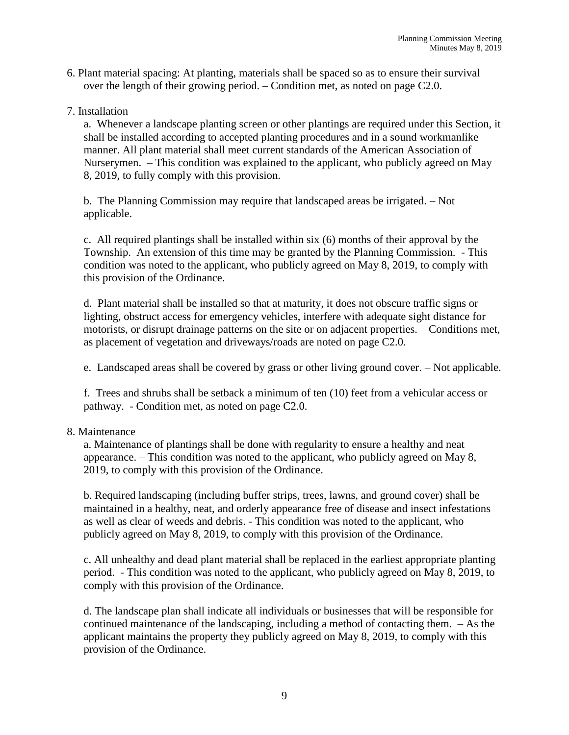- 6. Plant material spacing: At planting, materials shall be spaced so as to ensure their survival over the length of their growing period. – Condition met, as noted on page C2.0.
- 7. Installation

a. Whenever a landscape planting screen or other plantings are required under this Section, it shall be installed according to accepted planting procedures and in a sound workmanlike manner. All plant material shall meet current standards of the American Association of Nurserymen. – This condition was explained to the applicant, who publicly agreed on May 8, 2019, to fully comply with this provision.

b. The Planning Commission may require that landscaped areas be irrigated. – Not applicable.

c. All required plantings shall be installed within six (6) months of their approval by the Township. An extension of this time may be granted by the Planning Commission. - This condition was noted to the applicant, who publicly agreed on May 8, 2019, to comply with this provision of the Ordinance.

d. Plant material shall be installed so that at maturity, it does not obscure traffic signs or lighting, obstruct access for emergency vehicles, interfere with adequate sight distance for motorists, or disrupt drainage patterns on the site or on adjacent properties. – Conditions met, as placement of vegetation and driveways/roads are noted on page C2.0.

e. Landscaped areas shall be covered by grass or other living ground cover. – Not applicable.

f. Trees and shrubs shall be setback a minimum of ten (10) feet from a vehicular access or pathway. - Condition met, as noted on page C2.0.

#### 8. Maintenance

a. Maintenance of plantings shall be done with regularity to ensure a healthy and neat appearance. – This condition was noted to the applicant, who publicly agreed on May 8, 2019, to comply with this provision of the Ordinance.

b. Required landscaping (including buffer strips, trees, lawns, and ground cover) shall be maintained in a healthy, neat, and orderly appearance free of disease and insect infestations as well as clear of weeds and debris. - This condition was noted to the applicant, who publicly agreed on May 8, 2019, to comply with this provision of the Ordinance.

c. All unhealthy and dead plant material shall be replaced in the earliest appropriate planting period. - This condition was noted to the applicant, who publicly agreed on May 8, 2019, to comply with this provision of the Ordinance.

d. The landscape plan shall indicate all individuals or businesses that will be responsible for continued maintenance of the landscaping, including a method of contacting them. – As the applicant maintains the property they publicly agreed on May 8, 2019, to comply with this provision of the Ordinance.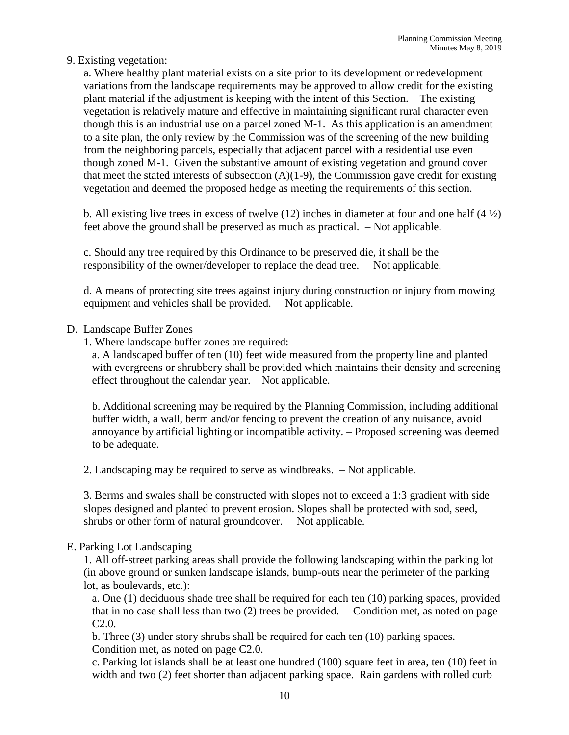## 9. Existing vegetation:

a. Where healthy plant material exists on a site prior to its development or redevelopment variations from the landscape requirements may be approved to allow credit for the existing plant material if the adjustment is keeping with the intent of this Section. – The existing vegetation is relatively mature and effective in maintaining significant rural character even though this is an industrial use on a parcel zoned M-1. As this application is an amendment to a site plan, the only review by the Commission was of the screening of the new building from the neighboring parcels, especially that adjacent parcel with a residential use even though zoned M-1. Given the substantive amount of existing vegetation and ground cover that meet the stated interests of subsection  $(A)(1-9)$ , the Commission gave credit for existing vegetation and deemed the proposed hedge as meeting the requirements of this section.

b. All existing live trees in excess of twelve  $(12)$  inches in diameter at four and one half  $(4\frac{1}{2})$ feet above the ground shall be preserved as much as practical. – Not applicable.

c. Should any tree required by this Ordinance to be preserved die, it shall be the responsibility of the owner/developer to replace the dead tree. – Not applicable.

d. A means of protecting site trees against injury during construction or injury from mowing equipment and vehicles shall be provided. – Not applicable.

### D. Landscape Buffer Zones

1. Where landscape buffer zones are required:

a. A landscaped buffer of ten (10) feet wide measured from the property line and planted with evergreens or shrubbery shall be provided which maintains their density and screening effect throughout the calendar year. – Not applicable.

b. Additional screening may be required by the Planning Commission, including additional buffer width, a wall, berm and/or fencing to prevent the creation of any nuisance, avoid annoyance by artificial lighting or incompatible activity. – Proposed screening was deemed to be adequate.

2. Landscaping may be required to serve as windbreaks. – Not applicable.

3. Berms and swales shall be constructed with slopes not to exceed a 1:3 gradient with side slopes designed and planted to prevent erosion. Slopes shall be protected with sod, seed, shrubs or other form of natural groundcover. – Not applicable.

#### E. Parking Lot Landscaping

1. All off-street parking areas shall provide the following landscaping within the parking lot (in above ground or sunken landscape islands, bump-outs near the perimeter of the parking lot, as boulevards, etc.):

a. One (1) deciduous shade tree shall be required for each ten (10) parking spaces, provided that in no case shall less than two  $(2)$  trees be provided.  $-$  Condition met, as noted on page C2.0.

b. Three (3) under story shrubs shall be required for each ten (10) parking spaces. – Condition met, as noted on page C2.0.

c. Parking lot islands shall be at least one hundred (100) square feet in area, ten (10) feet in width and two (2) feet shorter than adjacent parking space. Rain gardens with rolled curb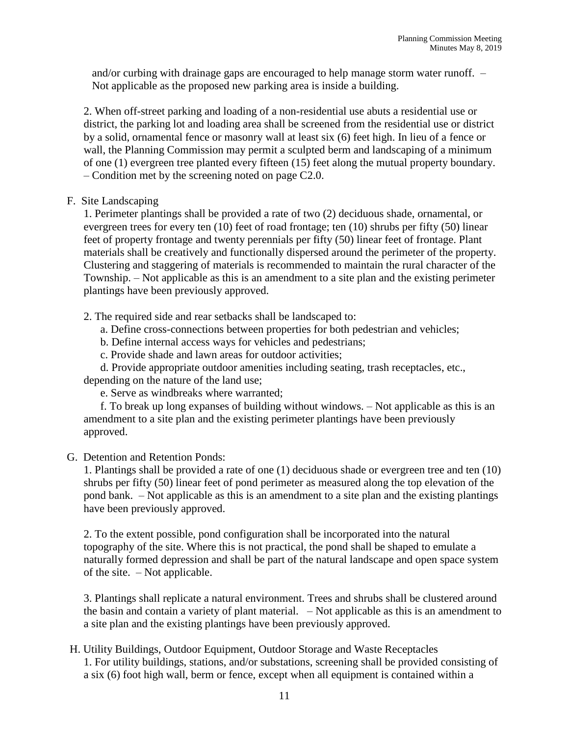and/or curbing with drainage gaps are encouraged to help manage storm water runoff. – Not applicable as the proposed new parking area is inside a building.

2. When off-street parking and loading of a non-residential use abuts a residential use or district, the parking lot and loading area shall be screened from the residential use or district by a solid, ornamental fence or masonry wall at least six (6) feet high. In lieu of a fence or wall, the Planning Commission may permit a sculpted berm and landscaping of a minimum of one (1) evergreen tree planted every fifteen (15) feet along the mutual property boundary. – Condition met by the screening noted on page C2.0.

### F. Site Landscaping

1. Perimeter plantings shall be provided a rate of two (2) deciduous shade, ornamental, or evergreen trees for every ten (10) feet of road frontage; ten (10) shrubs per fifty (50) linear feet of property frontage and twenty perennials per fifty (50) linear feet of frontage. Plant materials shall be creatively and functionally dispersed around the perimeter of the property. Clustering and staggering of materials is recommended to maintain the rural character of the Township. – Not applicable as this is an amendment to a site plan and the existing perimeter plantings have been previously approved.

2. The required side and rear setbacks shall be landscaped to:

a. Define cross-connections between properties for both pedestrian and vehicles;

b. Define internal access ways for vehicles and pedestrians;

c. Provide shade and lawn areas for outdoor activities;

d. Provide appropriate outdoor amenities including seating, trash receptacles, etc., depending on the nature of the land use;

e. Serve as windbreaks where warranted;

f. To break up long expanses of building without windows. – Not applicable as this is an amendment to a site plan and the existing perimeter plantings have been previously approved.

#### G. Detention and Retention Ponds:

1. Plantings shall be provided a rate of one (1) deciduous shade or evergreen tree and ten (10) shrubs per fifty (50) linear feet of pond perimeter as measured along the top elevation of the pond bank. – Not applicable as this is an amendment to a site plan and the existing plantings have been previously approved.

2. To the extent possible, pond configuration shall be incorporated into the natural topography of the site. Where this is not practical, the pond shall be shaped to emulate a naturally formed depression and shall be part of the natural landscape and open space system of the site. – Not applicable.

3. Plantings shall replicate a natural environment. Trees and shrubs shall be clustered around the basin and contain a variety of plant material. – Not applicable as this is an amendment to a site plan and the existing plantings have been previously approved.

## H. Utility Buildings, Outdoor Equipment, Outdoor Storage and Waste Receptacles

1. For utility buildings, stations, and/or substations, screening shall be provided consisting of a six (6) foot high wall, berm or fence, except when all equipment is contained within a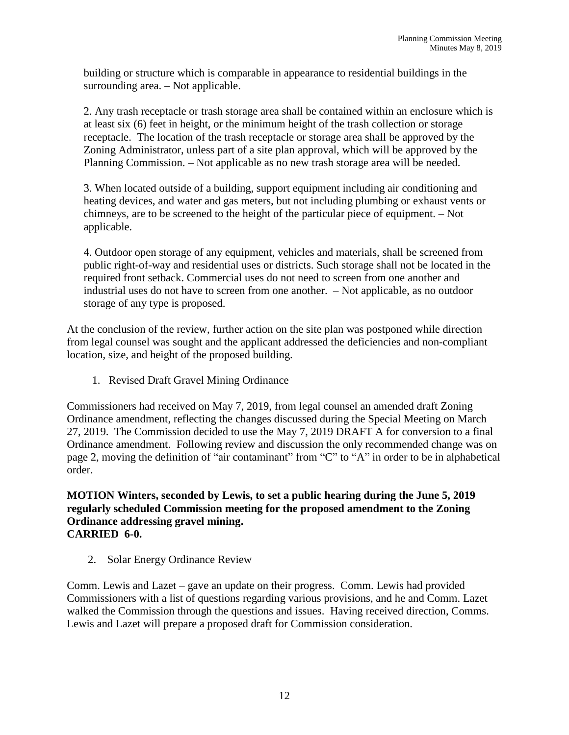building or structure which is comparable in appearance to residential buildings in the surrounding area. – Not applicable.

2. Any trash receptacle or trash storage area shall be contained within an enclosure which is at least six (6) feet in height, or the minimum height of the trash collection or storage receptacle. The location of the trash receptacle or storage area shall be approved by the Zoning Administrator, unless part of a site plan approval, which will be approved by the Planning Commission. – Not applicable as no new trash storage area will be needed.

3. When located outside of a building, support equipment including air conditioning and heating devices, and water and gas meters, but not including plumbing or exhaust vents or chimneys, are to be screened to the height of the particular piece of equipment. – Not applicable.

4. Outdoor open storage of any equipment, vehicles and materials, shall be screened from public right-of-way and residential uses or districts. Such storage shall not be located in the required front setback. Commercial uses do not need to screen from one another and industrial uses do not have to screen from one another. – Not applicable, as no outdoor storage of any type is proposed.

At the conclusion of the review, further action on the site plan was postponed while direction from legal counsel was sought and the applicant addressed the deficiencies and non-compliant location, size, and height of the proposed building.

1. Revised Draft Gravel Mining Ordinance

Commissioners had received on May 7, 2019, from legal counsel an amended draft Zoning Ordinance amendment, reflecting the changes discussed during the Special Meeting on March 27, 2019. The Commission decided to use the May 7, 2019 DRAFT A for conversion to a final Ordinance amendment. Following review and discussion the only recommended change was on page 2, moving the definition of "air contaminant" from "C" to "A" in order to be in alphabetical order.

**MOTION Winters, seconded by Lewis, to set a public hearing during the June 5, 2019 regularly scheduled Commission meeting for the proposed amendment to the Zoning Ordinance addressing gravel mining. CARRIED 6-0.**

2. Solar Energy Ordinance Review

Comm. Lewis and Lazet – gave an update on their progress. Comm. Lewis had provided Commissioners with a list of questions regarding various provisions, and he and Comm. Lazet walked the Commission through the questions and issues. Having received direction, Comms. Lewis and Lazet will prepare a proposed draft for Commission consideration.